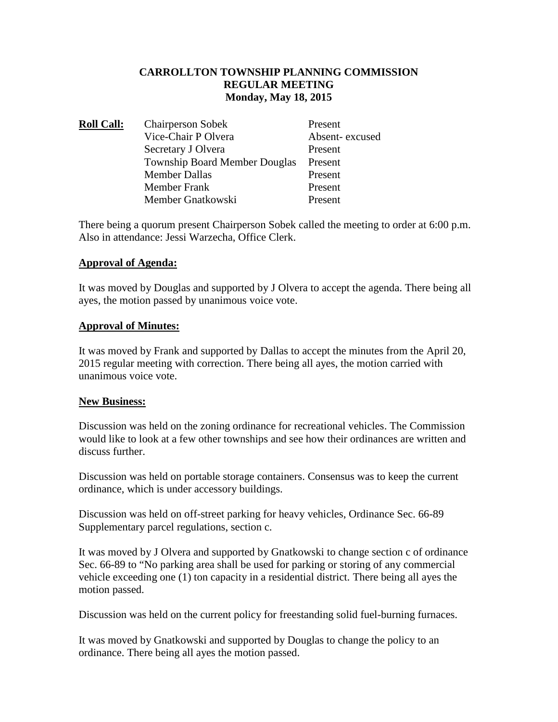# **CARROLLTON TOWNSHIP PLANNING COMMISSION REGULAR MEETING Monday, May 18, 2015**

| <b>Roll Call:</b> | <b>Chairperson Sobek</b>             | Present        |
|-------------------|--------------------------------------|----------------|
|                   | Vice-Chair P Olvera                  | Absent-excused |
|                   | Secretary J Olvera                   | Present        |
|                   | <b>Township Board Member Douglas</b> | Present        |
|                   | <b>Member Dallas</b>                 | Present        |
|                   | <b>Member Frank</b>                  | Present        |
|                   | Member Gnatkowski                    | Present        |

There being a quorum present Chairperson Sobek called the meeting to order at 6:00 p.m. Also in attendance: Jessi Warzecha, Office Clerk.

# **Approval of Agenda:**

It was moved by Douglas and supported by J Olvera to accept the agenda. There being all ayes, the motion passed by unanimous voice vote.

### **Approval of Minutes:**

It was moved by Frank and supported by Dallas to accept the minutes from the April 20, 2015 regular meeting with correction. There being all ayes, the motion carried with unanimous voice vote.

### **New Business:**

Discussion was held on the zoning ordinance for recreational vehicles. The Commission would like to look at a few other townships and see how their ordinances are written and discuss further.

Discussion was held on portable storage containers. Consensus was to keep the current ordinance, which is under accessory buildings.

Discussion was held on off-street parking for heavy vehicles, Ordinance Sec. 66-89 Supplementary parcel regulations, section c.

It was moved by J Olvera and supported by Gnatkowski to change section c of ordinance Sec. 66-89 to "No parking area shall be used for parking or storing of any commercial vehicle exceeding one (1) ton capacity in a residential district. There being all ayes the motion passed.

Discussion was held on the current policy for freestanding solid fuel-burning furnaces.

It was moved by Gnatkowski and supported by Douglas to change the policy to an ordinance. There being all ayes the motion passed.